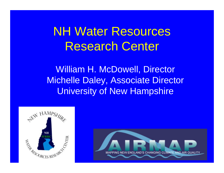# NH Water Resources Research Center

William H. McDowell, Director Michelle Daley, Associate Director University of New Hampshire



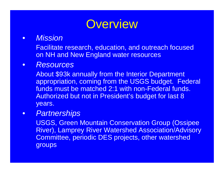

### • *Mission*

Facilitate research, education, and outreach focused on NH and New England water resources

### • *Resources*

About \$93k annually from the Interior Department appropriation, coming from the USGS budget. Federal funds must be matched 2:1 with non-Federal funds. Authorized but not in President's budget for last 8 years.

### • *Partnerships*

USGS, Green Mountain Conservation Group (Ossipee River), Lamprey River Watershed Association/Advisory Committee, periodic DES projects, other watershed groups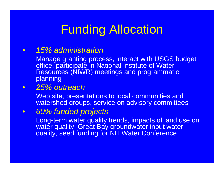# Funding Allocation

### • *15% administration*

Manage granting process, interact with USGS budget office, participate in National Institute of Water Resources (NIWR) meetings and programmatic planning

### • *25% outreach*

Web site, presentations to local communities and watershed groups, service on advisory committees

### • *60% funded projects*

Long-term water quality trends, impacts of land use on water quality, Great Bay groundwater input water quality, seed funding for NH Water Conference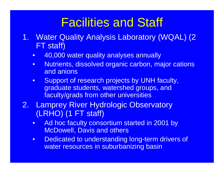# Facilities and Staff

- 1. Water Quality Analysis Laboratory (WQAL) (2 FT staff)
	- 40,000 water quality analyses annually
	- Nutrients, dissolved organic carbon, major cations and anions
	- Support of research projects by UNH faculty, graduate students, watershed groups, and faculty/grads from other universities
- 2. Lamprey River Hydrologic Observatory (LRHO) (1 FT staff)
	- Ad hoc faculty consortium started in 2001 by McDowell, Davis and others
	- Dedicated to understanding long-term drivers of water resources in suburbanizing basin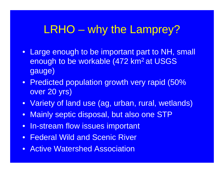# LRHO – why the Lamprey?

- Large enough to be important part to NH, small enough to be workable (472 km<sup>2</sup> at USGS gauge)
- Predicted population growth very rapid (50% over 20 yrs)
- Variety of land use (ag, urban, rural, wetlands)
- Mainly septic disposal, but also one STP
- In-stream flow issues important
- Federal Wild and Scenic River
- Active Watershed Association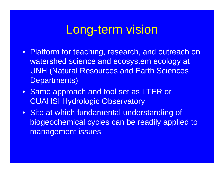# Long-term vision

- Platform for teaching, research, and outreach on watershed science and ecosystem ecology at UNH (Natural Resources and Earth Sciences Departments)
- Same approach and tool set as LTER or CUAHSI Hydrologic Observatory
- Site at which fundamental understanding of biogeochemical cycles can be readily applied to management issues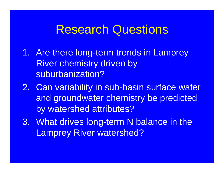# Research Questions

- 1. Are there long-term trends in Lamprey River chemistry driven by suburbanization?
- 2. Can variability in sub-basin surface water and groundwater chemistry be predicted by watershed attributes?
- 3. What drives long-term N balance in the Lamprey River watershed?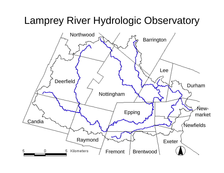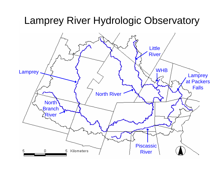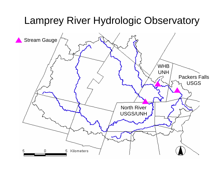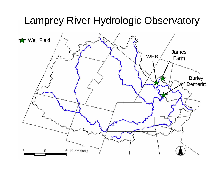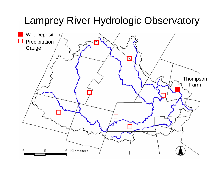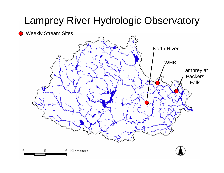#### Weekly Stream Sites

5

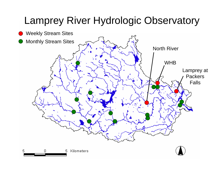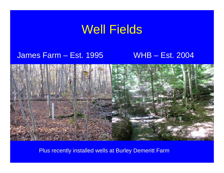# Well Fields

### James Farm – Est. 1995

### WHB – Est. 2004



Plus recently installed wells at Burley Demeritt Farm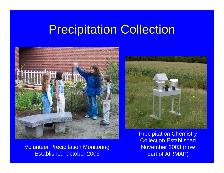# Precipitation Collection



Volunteer Precipitation Monitoring Established October 2003



Precipitation Chemistry Collection Established November 2003 (now part of AIRMAP)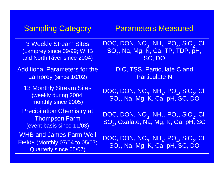| <b>Sampling Category</b>                                                                           | <b>Parameters Measured</b>                                                                                                               |
|----------------------------------------------------------------------------------------------------|------------------------------------------------------------------------------------------------------------------------------------------|
| <b>3 Weekly Stream Sites</b><br>(Lamprey since 09/99; WHB<br>and North River since 2004)           | DOC, DON, $NO_3$ , NH <sub>4</sub> , PO <sub>4</sub> , SiO <sub>2</sub> , CI,<br>SO <sub>4</sub> , Na, Mg, K, Ca, TP, TDP, pH,<br>SC, DO |
| <b>Additional Parameters for the</b><br>Lamprey (since 10/02)                                      | DIC, TSS, Particulate C and<br><b>Particulate N</b>                                                                                      |
| <b>13 Monthly Stream Sites</b><br>(weekly during 2004;<br>monthly since 2005)                      | DOC, DON, $NO_3$ , $NH_4$ , $PO_4$ , $SiO_2$ , CI,<br>SO <sub>4</sub> , Na, Mg, K, Ca, pH, SC, DO                                        |
| <b>Precipitation Chemistry at</b><br><b>Thompson Farm</b><br>(event basis since 11/03)             | DOC, DON, $NO_3$ , $NH_4$ , $PO_4$ , $SiO_2$ , CI,<br>SO <sub>4</sub> , Oxalate, Na, Mg, K, Ca, pH, SC                                   |
| <b>WHB and James Farm Well</b><br>Fields (Monthly 07/04 to 05/07;<br><b>Quarterly since 05/07)</b> | DOC, DON, NO <sub>3</sub> , NH <sub>4</sub> , PO <sub>4</sub> , SiO <sub>2</sub> , CI,<br>SO <sub>4</sub> , Na, Mg, K, Ca, pH, SC, DO    |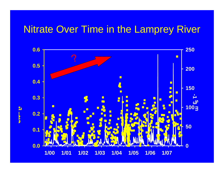### Nitrate Over Time in the Lamprey River

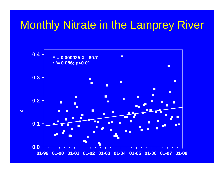## Monthly Nitrate in the Lamprey River

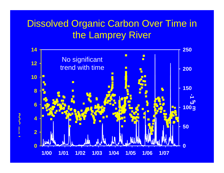## Dissolved Organic Carbon Over Time in the Lamprey River

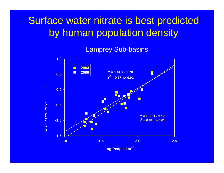## Surface water nitrate is best predicted by human population density

#### Lamprey Sub-basins

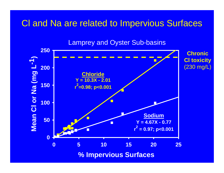### Cl and Na are related to Impervious Surfaces



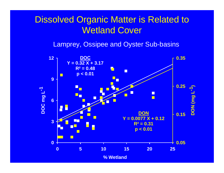### Dissolved Organic Matter is Related to Wetland Cover

Lamprey, Ossipee and Oyster Sub-basins

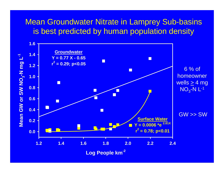### Mean Groundwater Nitrate in Lamprey Sub-basins is best predicted by human population density

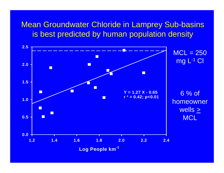### Mean Groundwater Chloride in Lamprey Sub-basins is best predicted by human population density